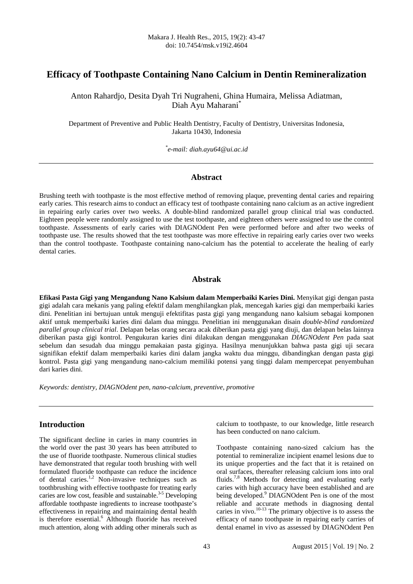# **Efficacy of Toothpaste Containing Nano Calcium in Dentin Remineralization**

Anton Rahardjo, Desita Dyah Tri Nugraheni, Ghina Humaira, Melissa Adiatman, Diah Ayu Maharani<sup>\*</sup>

Department of Preventive and Public Health Dentistry, Faculty of Dentistry, Universitas Indonesia, Jakarta 10430, Indonesia

*\* e-mail: diah.ayu64@ui.ac.id* 

## **Abstract**

Brushing teeth with toothpaste is the most effective method of removing plaque, preventing dental caries and repairing early caries. This research aims to conduct an efficacy test of toothpaste containing nano calcium as an active ingredient in repairing early caries over two weeks. A double-blind randomized parallel group clinical trial was conducted. Eighteen people were randomly assigned to use the test toothpaste, and eighteen others were assigned to use the control toothpaste. Assessments of early caries with DIAGNOdent Pen were performed before and after two weeks of toothpaste use. The results showed that the test toothpaste was more effective in repairing early caries over two weeks than the control toothpaste. Toothpaste containing nano-calcium has the potential to accelerate the healing of early dental caries.

#### **Abstrak**

**Efikasi Pasta Gigi yang Mengandung Nano Kalsium dalam Memperbaiki Karies Dini.** Menyikat gigi dengan pasta gigi adalah cara mekanis yang paling efektif dalam menghilangkan plak, mencegah karies gigi dan memperbaiki karies dini. Penelitian ini bertujuan untuk menguji efektifitas pasta gigi yang mengandung nano kalsium sebagai komponen aktif untuk memperbaiki karies dini dalam dua minggu. Penelitian ini menggunakan disain *double-blind randomized parallel group clinical trial*. Delapan belas orang secara acak diberikan pasta gigi yang diuji, dan delapan belas lainnya diberikan pasta gigi kontrol. Pengukuran karies dini dilakukan dengan menggunakan *DIAGNOdent Pen* pada saat sebelum dan sesudah dua minggu pemakaian pasta giginya. Hasilnya menunjukkan bahwa pasta gigi uji secara signifikan efektif dalam memperbaiki karies dini dalam jangka waktu dua minggu, dibandingkan dengan pasta gigi kontrol. Pasta gigi yang mengandung nano-calcium memiliki potensi yang tinggi dalam mempercepat penyembuhan dari karies dini.

*Keywords: dentistry, DIAGNOdent pen, nano-calcium, preventive, promotive* 

# **Introduction**

The significant decline in caries in many countries in the world over the past 30 years has been attributed to the use of fluoride toothpaste. Numerous clinical studies have demonstrated that regular tooth brushing with well formulated fluoride toothpaste can reduce the incidence of dental caries.<sup>1,2</sup> Non-invasive techniques such as toothbrushing with effective toothpaste for treating early caries are low cost, feasible and sustainable.<sup>3-5</sup> Developing affordable toothpaste ingredients to increase toothpaste's effectiveness in repairing and maintaining dental health is therefore essential.<sup>6</sup> Although fluoride has received much attention, along with adding other minerals such as calcium to toothpaste, to our knowledge, little research has been conducted on nano calcium.

Toothpaste containing nano-sized calcium has the potential to remineralize incipient enamel lesions due to its unique properties and the fact that it is retained on oral surfaces, thereafter releasing calcium ions into oral fluids.7,8 Methods for detecting and evaluating early caries with high accuracy have been established and are being developed.<sup>9</sup> DIAGNOdent Pen is one of the most reliable and accurate methods in diagnosing dental caries in vivo.<sup>10-13</sup> The primary objective is to assess the efficacy of nano toothpaste in repairing early carries of dental enamel in vivo as assessed by DIAGNOdent Pen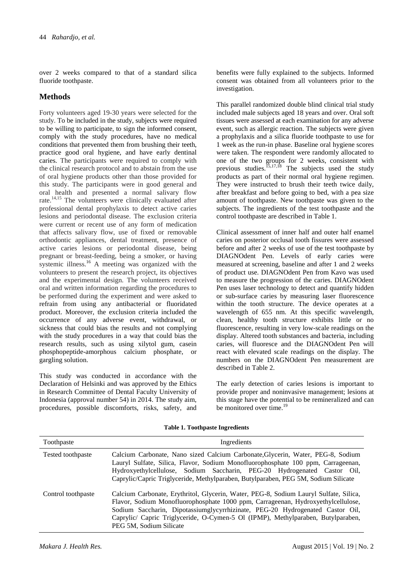over 2 weeks compared to that of a standard silica fluoride toothpaste.

# **Methods**

Forty volunteers aged 19-30 years were selected for the study. To be included in the study, subjects were required to be willing to participate, to sign the informed consent, comply with the study procedures, have no medical conditions that prevented them from brushing their teeth, practice good oral hygiene, and have early dentinal caries. The participants were required to comply with the clinical research protocol and to abstain from the use of oral hygiene products other than those provided for this study. The participants were in good general and oral health and presented a normal salivary flow rate.14,15 The volunteers were clinically evaluated after professional dental prophylaxis to detect active caries lesions and periodontal disease. The exclusion criteria were current or recent use of any form of medication that affects salivary flow, use of fixed or removable orthodontic appliances, dental treatment, presence of active caries lesions or periodontal disease, being pregnant or breast-feeding, being a smoker, or having systemic illness.<sup>16</sup> A meeting was organized with the volunteers to present the research project, its objectives and the experimental design. The volunteers received oral and written information regarding the procedures to be performed during the experiment and were asked to refrain from using any antibacterial or fluoridated product. Moreover, the exclusion criteria included the occurrence of any adverse event, withdrawal, or sickness that could bias the results and not complying with the study procedures in a way that could bias the research results, such as using xilytol gum, casein phosphopeptide-amorphous calcium phosphate, or gargling solution.

This study was conducted in accordance with the Declaration of Helsinki and was approved by the Ethics in Research Committee of Dental Faculty University of Indonesia (approval number 54) in 2014. The study aim, procedures, possible discomforts, risks, safety, and benefits were fully explained to the subjects. Informed consent was obtained from all volunteers prior to the investigation.

This parallel randomized double blind clinical trial study included male subjects aged 18 years and over. Oral soft tissues were assessed at each examination for any adverse event, such as allergic reaction. The subjects were given a prophylaxis and a silica fluoride toothpaste to use for 1 week as the run-in phase. Baseline oral hygiene scores were taken. The respondent were randomly allocated to one of the two groups for 2 weeks, consistent with previous studies.<sup>15,17,18</sup> The subjects used the study products as part of their normal oral hygiene regimen. They were instructed to brush their teeth twice daily, after breakfast and before going to bed, with a pea size amount of toothpaste. New toothpaste was given to the subjects. The ingredients of the test toothpaste and the control toothpaste are described in Table 1.

Clinical assessment of inner half and outer half enamel caries on posterior occlusal tooth fissures were assessed before and after 2 weeks of use of the test toothpaste by DIAGNOdent Pen. Levels of early caries were measured at screening, baseline and after 1 and 2 weeks of product use. DIAGNOdent Pen from Kavo was used to measure the progression of the caries. DIAGNOdent Pen uses laser technology to detect and quantify hidden or sub-surface caries by measuring laser fluorescence within the tooth structure. The device operates at a wavelength of 655 nm. At this specific wavelength, clean, healthy tooth structure exhibits little or no fluorescence, resulting in very low-scale readings on the display. Altered tooth substances and bacteria, including caries, will fluoresce and the DIAGNOdent Pen will react with elevated scale readings on the display. The numbers on the DIAGNOdent Pen measurement are described in Table 2.

The early detection of caries lesions is important to provide proper and noninvasive management; lesions at this stage have the potential to be remineralized and can be monitored over time.<sup>19</sup>

| Toothpaste         | Ingredients                                                                                                                                                                                                                                                                                                                                                               |  |  |  |  |
|--------------------|---------------------------------------------------------------------------------------------------------------------------------------------------------------------------------------------------------------------------------------------------------------------------------------------------------------------------------------------------------------------------|--|--|--|--|
| Tested toothpaste  | Calcium Carbonate, Nano sized Calcium Carbonate, Glycerin, Water, PEG-8, Sodium<br>Lauryl Sulfate, Silica, Flavor, Sodium Monofluorophosphate 100 ppm, Carrageenan,<br>Hydroxyethylcellulose, Sodium Saccharin, PEG-20 Hydrogenated Castor Oil,<br>Caprylic/Capric Triglyceride, Methylparaben, Butylparaben, PEG 5M, Sodium Silicate                                     |  |  |  |  |
| Control toothpaste | Calcium Carbonate, Erythritol, Glycerin, Water, PEG-8, Sodium Lauryl Sulfate, Silica,<br>Flavor, Sodium Monofluorophosphate 1000 ppm, Carrageenan, Hydroxyethylcellulose,<br>Sodium Saccharin, Dipotassiumglycyrrhizinate, PEG-20 Hydrogenated Castor Oil,<br>Caprylic/ Capric Triglyceride, O-Cymen-5 Ol (IPMP), Methylparaben, Butylparaben,<br>PEG 5M, Sodium Silicate |  |  |  |  |

**Table 1. Toothpaste Ingredients**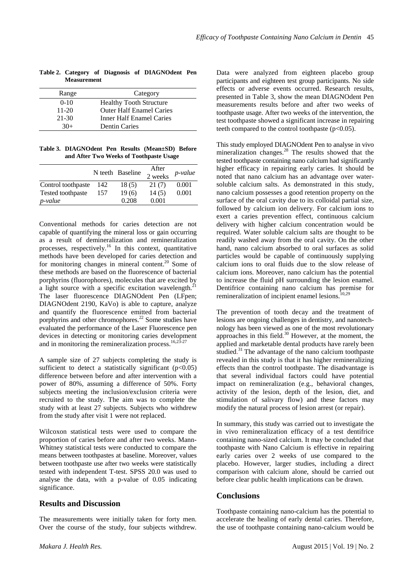| Range     | Category                        |
|-----------|---------------------------------|
| $0-10$    | <b>Healthy Tooth Structure</b>  |
| $11-20$   | <b>Outer Half Enamel Caries</b> |
| $21 - 30$ | Inner Half Enamel Caries        |
| $30+$     | <b>Dentin Caries</b>            |

**Table 2. Category of Diagnosis of DIAGNOdent Pen Measurement** 

**Table 3. DIAGNOdent Pen Results (Mean±SD) Before and After Two Weeks of Toothpaste Usage** 

|                    |     | N teeth Baseline | After<br>2 weeks | <i>p</i> -value |
|--------------------|-----|------------------|------------------|-----------------|
| Control toothpaste | 142 | 18(5)            | 21(7)            | 0.001           |
| Tested toothpaste  | 157 | 19(6)            | 14(5)            | 0.001           |
| <i>p</i> -value    |     | 0.208            | 0.001            |                 |

Conventional methods for caries detection are not capable of quantifying the mineral loss or gain occurring as a result of demineralization and remineralization processes, respectively.<sup>16</sup> In this context, quantitative methods have been developed for caries detection and for monitoring changes in mineral content.<sup>20</sup> Some of these methods are based on the fluorescence of bacterial porphyrins (fluorophores), molecules that are excited by a light source with a specific excitation wavelength.<sup>2</sup> The laser fluorescence DIAGNOdent Pen (LFpen; DIAGNOdent 2190, KaVo) is able to capture, analyze and quantify the fluorescence emitted from bacterial porphyrins and other chromophores.<sup>22</sup> Some studies have evaluated the performance of the Laser Fluorescence pen devices in detecting or monitoring caries development and in monitoring the remineralization process.<sup>16,23-27</sup>

A sample size of 27 subjects completing the study is sufficient to detect a statistically significant  $(p<0.05)$ difference between before and after intervention with a power of 80%, assuming a difference of 50%. Forty subjects meeting the inclusion/exclusion criteria were recruited to the study. The aim was to complete the study with at least 27 subjects. Subjects who withdrew from the study after visit 1 were not replaced.

Wilcoxon statistical tests were used to compare the proportion of caries before and after two weeks. Mann-Whitney statistical tests were conducted to compare the means between toothpastes at baseline. Moreover, values between toothpaste use after two weeks were statistically tested with independent T-test. SPSS 20.0 was used to analyse the data, with a p-value of 0.05 indicating significance.

#### **Results and Discussion**

The measurements were initially taken for forty men. Over the course of the study, four subjects withdrew. Data were analyzed from eighteen placebo group participants and eighteen test group participants. No side effects or adverse events occurred. Research results, presented in Table 3, show the mean DIAGNOdent Pen measurements results before and after two weeks of toothpaste usage. After two weeks of the intervention, the test toothpaste showed a significant increase in repairing teeth compared to the control toothpaste  $(p<0.05)$ .

This study employed DIAGNOdent Pen to analyse in vivo mineralization changes.<sup>28</sup> The results showed that the tested toothpaste containing nano calcium had significantly higher efficacy in repairing early caries. It should be noted that nano calcium has an advantage over watersoluble calcium salts. As demonstrated in this study, nano calcium possesses a good retention property on the surface of the oral cavity due to its colloidal partial size, followed by calcium ion delivery. For calcium ions to exert a caries prevention effect, continuous calcium delivery with higher calcium concentration would be required. Water soluble calcium salts are thought to be readily washed away from the oral cavity. On the other hand, nano calcium absorbed to oral surfaces as solid particles would be capable of continuously supplying calcium ions to oral fluids due to the slow release of calcium ions. Moreover, nano calcium has the potential to increase the fluid pH surrounding the lesion enamel. Dentifrice containing nano calcium has premise for remineralization of incipient enamel lesions.<sup>10,29</sup>

The prevention of tooth decay and the treatment of lesions are ongoing challenges in dentistry, and nanotechnology has been viewed as one of the most revolutionary approaches in this field. $30$  However, at the moment, the applied and marketable dental products have rarely been studied.<sup>31</sup> The advantage of the nano calcium toothpaste revealed in this study is that it has higher remineralizing effects than the control toothpaste. The disadvantage is that several individual factors could have potential impact on remineralization (e.g., behavioral changes, activity of the lesion, depth of the lesion, diet, and stimulation of salivary flow) and these factors may modify the natural process of lesion arrest (or repair).

In summary, this study was carried out to investigate the in vivo remineralization efficacy of a test dentifrice containing nano-sized calcium. It may be concluded that toothpaste with Nano Calcium is effective in repairing early caries over 2 weeks of use compared to the placebo. However, larger studies, including a direct comparison with calcium alone, should be carried out before clear public health implications can be drawn.

## **Conclusions**

Toothpaste containing nano-calcium has the potential to accelerate the healing of early dental caries. Therefore, the use of toothpaste containing nano-calcium would be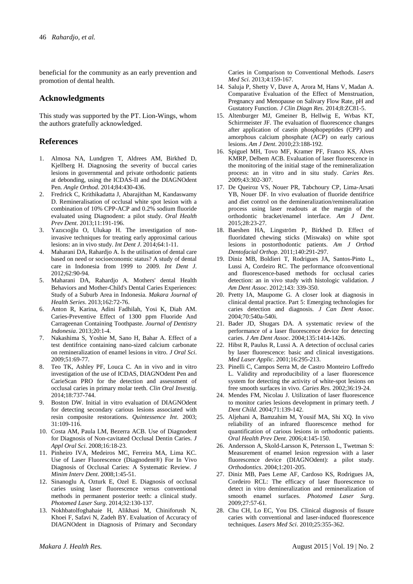beneficial for the community as an early prevention and promotion of dental health.

#### **Acknowledgments**

This study was supported by the PT. Lion-Wings, whom the authors gratefully acknowledged.

#### **References**

- 1. Almosa NA, Lundgren T, Aldrees AM, Birkhed D, Kjellberg H. Diagnosing the severity of buccal caries lesions in governmental and private orthodontic patients at debonding, using the ICDAS-II and the DIAGNOdent Pen. *Angle Orthod*. 2014;84:430-436.
- 2. Fredrick C, Krithikadatta J, Abarajithan M, Kandaswamy D. Remineralisation of occlusal white spot lesion with a combination of 10% CPP-ACP and 0.2% sodium fluoride evaluated using Diagnodent: a pilot study. *Oral Health Prev Dent*. 2013;11:191-196.
- 3. Yazıcıoğlu O, Ulukap H. The investigation of noninvasive techniques for treating early approximal carious lesions: an in vivo study. *Int Dent J*. 2014;64:1-11.
- 4. Maharani DA, Rahardjo A. Is the utilisation of dental care based on need or socioeconomic status? A study of dental care in Indonesia from 1999 to 2009. *Int Dent J*. 2012;62:90-94.
- 5. Maharani DA, Rahardjo A. Mothers' dental Health Behaviors and Mother-Child's Dental Caries Experiences: Study of a Suburb Area in Indonesia. *Makara Journal of Health Series*. 2013;162:72-76.
- 6. Anton R, Karina, Adini Fadhilah, Yosi K, Diah AM. Caries-Preventive Effect of 1300 ppm Fluoride And Carrageenan Containing Toothpaste. *Journal of Dentistry Indonesia*. 2013;20:1-4.
- 7. Nakashima S, Yoshie M, Sano H, Bahar A. Effect of a test dentifrice containing nano-sized calcium carbonate on remineralization of enamel lesions in vitro. *J Oral Sci*. 2009;51:69-77.
- 8. Teo TK, Ashley PF, Louca C. An in vivo and in vitro investigation of the use of ICDAS, DIAGNOdent Pen and CarieScan PRO for the detection and assessment of occlusal caries in primary molar teeth. *Clin Oral Investig*. 2014;18:737-744.
- 9. Boston DW. Initial in vitro evaluation of DIAGNOdent for detecting secondary carious lesions associated with resin composite restorations. *Quintessence Int*. 2003; 31:109-116.
- 10. Costa AM, Paula LM, Bezerra ACB. Use of Diagnodent for Diagnosis of Non-cavitated Occlusal Dentin Caries. *J Appl Oral Sci*. 2008;16:18-23.
- 11. Pinheiro IVA, Medeiros MC, Ferreira MA, Lima KC. Use of Laser Fluorescence (Diagnodent®) For In Vivo Diagnosis of Occlusal Caries: A Systematic Review. *J Minim Interv Dent*. 2008;1:45-51.
- 12. Sinanoglu A, Ozturk E, Ozel E. Diagnosis of occlusal caries using laser fluorescence versus conventional methods in permanent posterior teeth: a clinical study. *Photomed Laser Surg*. 2014;32:130-137.
- 13. Nokhbatolfoghahaie H, Alikhasi M, Chiniforush N, Khoei F, Safavi N, Zadeh BY. Evaluation of Accuracy of DIAGNOdent in Diagnosis of Primary and Secondary

Caries in Comparison to Conventional Methods. *Lasers Med Sci*. 2013;4:159-167.

- 14. Saluja P, Shetty V, Dave A, Arora M, Hans V, Madan A. Comparative Evaluation of the Effect of Menstruation, Pregnancy and Menopause on Salivary Flow Rate, pH and Gustatory Function. *J Clin Diagn Res*. 2014;8:ZC81-5.
- 15. Altenburger MJ, Gmeiner B, Hellwig E, Wrbas KT, Schirrmeister JF. The evaluation of fluorescence changes after application of casein phosphopeptides (CPP) and amorphous calcium phosphate (ACP) on early carious lesions. *Am J Dent*. 2010;23:188-192.
- 16. Spiguel MH, Tovo MF, Kramer PF, Franco KS, Alves KMRP, Delbem ACB. Evaluation of laser fluorescence in the monitoring of the initial stage of the remineralization process: an in vitro and in situ study. *Caries Res*. 2009;43:302-307.
- 17. De Queiroz VS, Nouer PR, Tabchoury CP, Lima-Arsati YB, Nouer DF. In vivo evaluation of fluoride dentifrice and diet control on the demineralization/remineralization process using laser readouts at the margin of the orthodontic bracket/enamel interface. *Am J Dent*. 2015;28:23-27.
- 18. Baeshen HA, Lingström P, Birkhed D. Effect of fluoridated chewing sticks (Miswaks) on white spot lesions in postorthodontic patients. *Am J Orthod Dentofacial Orthop*. 2011;140:291-297.
- 19. Diniz MB, Boldieri T, Rodrigues JA, Santos-Pinto L, Lussi A, Cordeiro RC. The performance ofconventional and fluorescence-based methods for occlusal caries detection: an in vivo study with histologic validation. *J Am Dent Assoc*. 2012;143: 339-350.
- 20. Pretty IA, Maupome G. A closer look at diagnosis in clinical dental practice. Part 5: Emerging technologies for caries detection and diagnosis. *J Can Dent Assoc*. 2004;70:540a-540i.
- 21. Bader JD, Shugars DA. A systematic review of the performance of a laser fluorescence device for detecting caries. *J Am Dent Assoc*. 2004;135:1414-1426.
- 22. Hibst R, Paulus R, Lussi A. A detection of occlusal caries by laser fluorescence: basic and clinical investigations. *Med Laser Applic*. 2001;16:295-213.
- 23. Pinelli C, Campos Serra M, de Castro Monteiro Loffredo L. Validity and reproducibility of a laser fluorescence system for detecting the activity of white-spot lesions on free smooth surfaces in vivo. *Caries Res*. 2002;36:19-24.
- 24. Mendes FM, Nicolau J. Utilization of laser fluorescence to monitor caries lesions development in primary teeth. *J Dent Child*. 2004;71:139-142.
- 25. Aljehani A, Bamzahim M, Yousif MA, Shi XQ. In vivo reliability of an infrared fluorescence method for quantification of carious lesions in orthodontic patients. *Oral Health Prev Dent*. 2006;4:145-150.
- 26. Andersson A, Skold-Larsson K, Petersson L, Twetman S: Measurement of enamel lesion regression with a laser fluorescence device (DIAGNOdent): a pilot study. *Orthodontics*. 2004;1:201-205.
- 27. Diniz MB, Paes Leme AF, Cardoso KS, Rodrigues JA, Cordeiro RCL: The efficacy of laser fluorescence to detect in vitro demineralization and remineralization of smooth enamel surfaces. *Photomed Laser Surg*. 2009;27:57-61.
- 28. Chu CH, Lo EC, You DS. Clinical diagnosis of fissure caries with conventional and laser-induced fluorescence techniques. *Lasers Med Sci*. 2010;25:355-362.